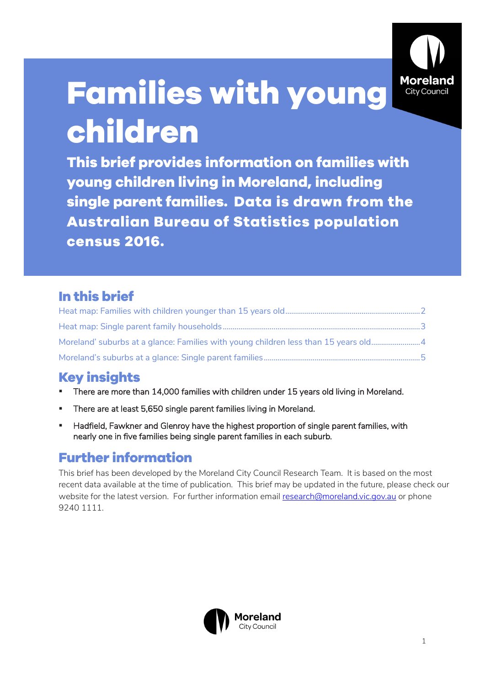

# **Families with young children**

**This brief provides information on families with young children living in Moreland, including single parent families. Data is drawn from the Australian Bureau of Statistics population census 2016.**

## **In this brief**

| Moreland' suburbs at a glance: Families with young children less than 15 years old4 |  |
|-------------------------------------------------------------------------------------|--|
|                                                                                     |  |

# **Key insights**

- There are more than 14,000 families with children under 15 years old living in Moreland.
- There are at least 5,650 single parent families living in Moreland.
- Hadfield, Fawkner and Glenroy have the highest proportion of single parent families, with nearly one in five families being single parent families in each suburb.

### **Further information**

This brief has been developed by the Moreland City Council Research Team. It is based on the most recent data available at the time of publication. This brief may be updated in the future, please check our website for the latest version. For further information emai[l research@moreland.vic.gov.au](mailto:research@moreland.vic.gov.au) or phone 9240 1111.

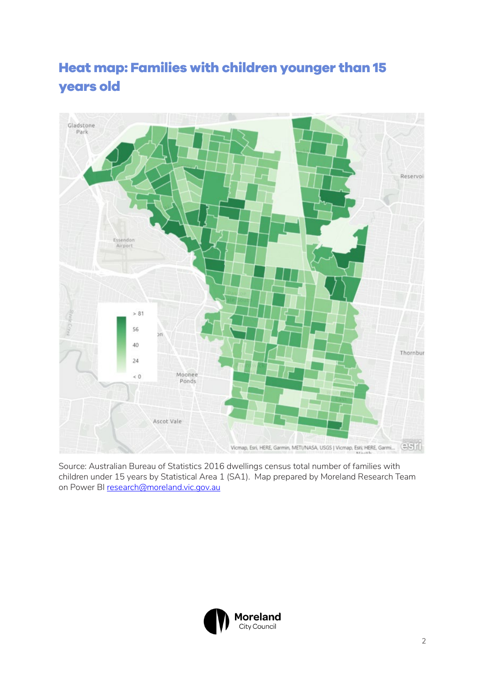# <span id="page-1-0"></span>**Heat map: Families with children younger than 15 years old**



Source: Australian Bureau of Statistics 2016 dwellings census total number of families with children under 15 years by Statistical Area 1 (SA1). Map prepared by Moreland Research Team on Power BI [research@moreland.vic.gov.au](mailto:research@moreland.vic.gov.au)

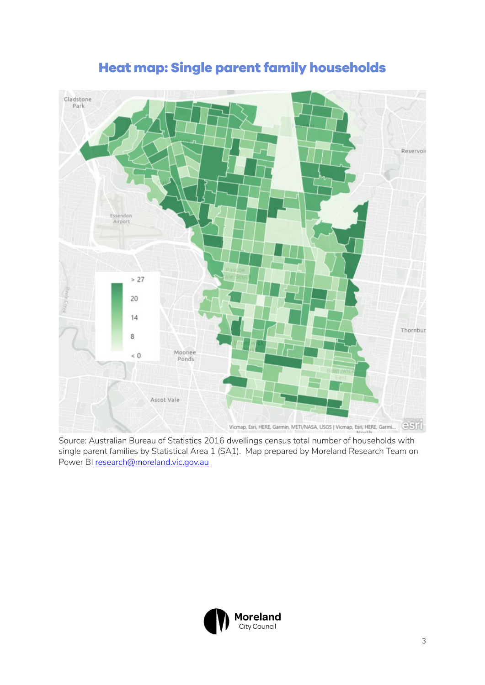<span id="page-2-0"></span>

## **Heat map: Single parent family households**

Source: Australian Bureau of Statistics 2016 dwellings census total number of households with single parent families by Statistical Area 1 (SA1). Map prepared by Moreland Research Team on Power BI [research@moreland.vic.gov.au](mailto:research@moreland.vic.gov.au)

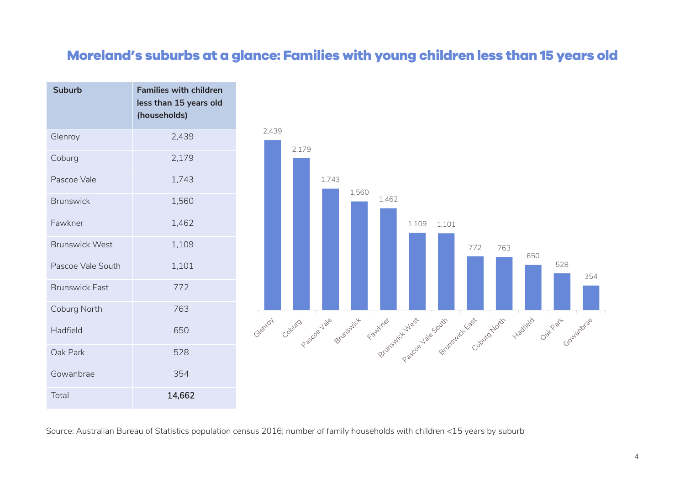#### **Moreland's suburbs at a glance: Families with young children less than 15 years old**

<span id="page-3-0"></span>

| <b>Suburb</b>         | <b>Families with children</b><br>less than 15 years old<br>(households) |
|-----------------------|-------------------------------------------------------------------------|
| Glenroy               | 2,439                                                                   |
| Coburg                | 2,179                                                                   |
| Pascoe Vale           | 1,743                                                                   |
| <b>Brunswick</b>      | 1,560                                                                   |
| Fawkner               | 1,462                                                                   |
| <b>Brunswick West</b> | 1,109                                                                   |
| Pascoe Vale South     | 1,101                                                                   |
| <b>Brunswick Fast</b> | 772                                                                     |
| Coburg North          | 763                                                                     |
| Hadfield              | 650                                                                     |
| Oak Park              | 528                                                                     |
| Gowanbrae             | 354                                                                     |
| Total                 | 14.662                                                                  |



Source: Australian Bureau of Statistics population census 2016; number of family households with children <15 years by suburb